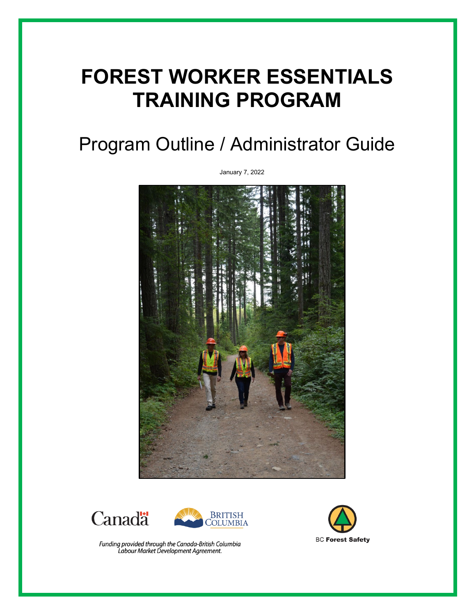# **FOREST WORKER ESSENTIALS TRAINING PROGRAM**

## Program Outline / Administrator Guide







Funding provided through the Canada-British Columbia<br>Labour Market Development Agreement.



January 7, 2022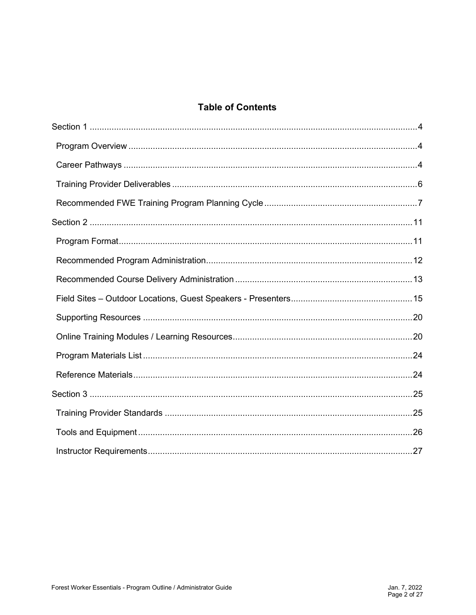#### **Table of Contents**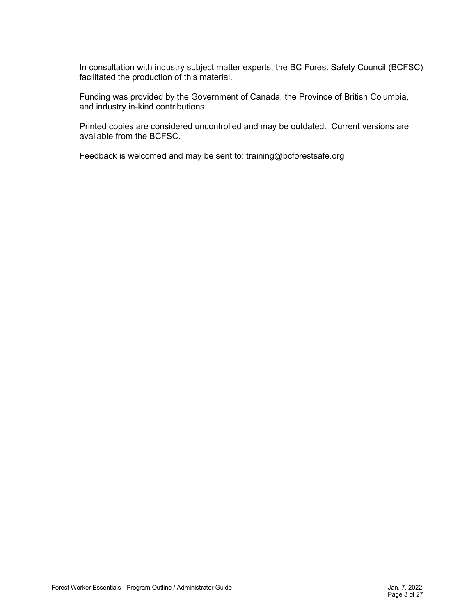In consultation with industry subject matter experts, the BC Forest Safety Council (BCFSC) facilitated the production of this material.

Funding was provided by the Government of Canada, the Province of British Columbia, and industry in-kind contributions.

Printed copies are considered uncontrolled and may be outdated. Current versions are available from the BCFSC.

Feedback is welcomed and may be sent to: training@bcforestsafe.org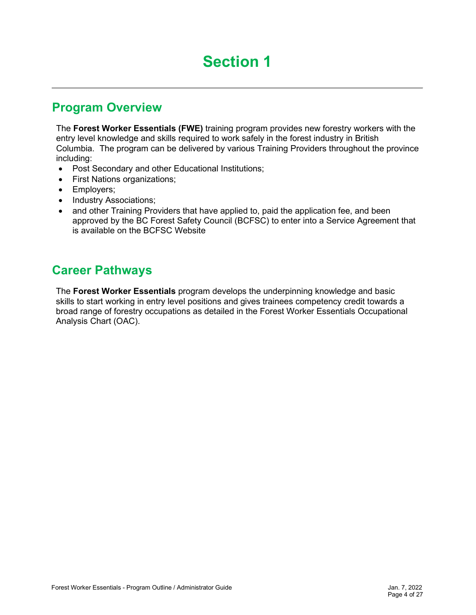## **Section 1**

### <span id="page-3-1"></span><span id="page-3-0"></span>**Program Overview**

The **Forest Worker Essentials (FWE)** training program provides new forestry workers with the entry level knowledge and skills required to work safely in the forest industry in British Columbia. The program can be delivered by various Training Providers throughout the province including:

- Post Secondary and other Educational Institutions;
- First Nations organizations;
- Employers;
- Industry Associations;
- and other Training Providers that have applied to, paid the application fee, and been approved by the BC Forest Safety Council (BCFSC) to enter into a Service Agreement that is available on the BCFSC Website

### <span id="page-3-2"></span>**Career Pathways**

The **Forest Worker Essentials** program develops the underpinning knowledge and basic skills to start working in entry level positions and gives trainees competency credit towards a broad range of forestry occupations as detailed in the Forest Worker Essentials Occupational Analysis Chart (OAC).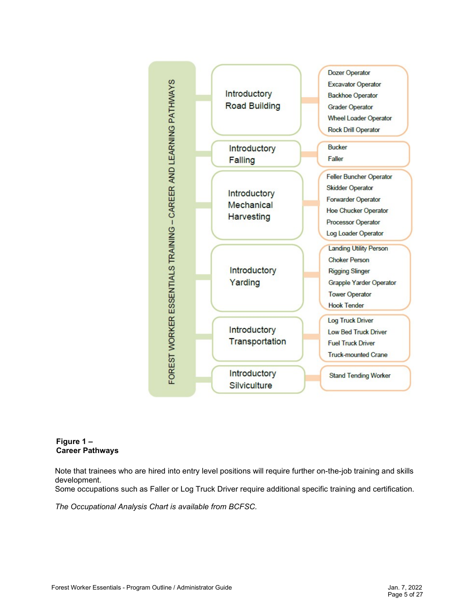

#### **Figure 1 – Career Pathways**

Note that trainees who are hired into entry level positions will require further on-the-job training and skills development.

Some occupations such as Faller or Log Truck Driver require additional specific training and certification.

<span id="page-4-0"></span>*The Occupational Analysis Chart is available from BCFSC.*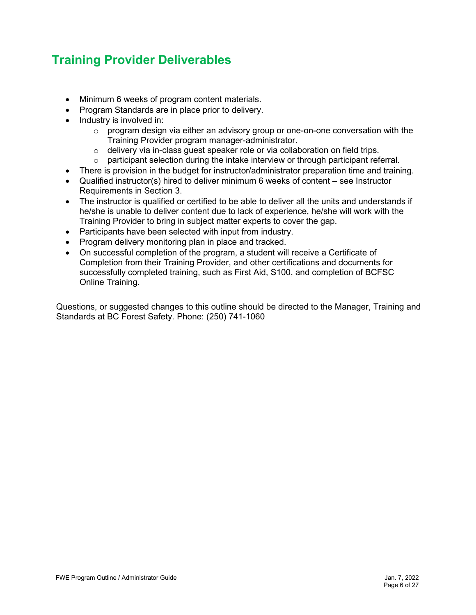### **Training Provider Deliverables**

- Minimum 6 weeks of program content materials.
- Program Standards are in place prior to delivery.
- Industry is involved in:
	- $\circ$  program design via either an advisory group or one-on-one conversation with the Training Provider program manager-administrator.
	- o delivery via in-class guest speaker role or via collaboration on field trips.
	- $\circ$  participant selection during the intake interview or through participant referral.
- There is provision in the budget for instructor/administrator preparation time and training.
- Qualified instructor(s) hired to deliver minimum 6 weeks of content see Instructor Requirements in Section 3.
- The instructor is qualified or certified to be able to deliver all the units and understands if he/she is unable to deliver content due to lack of experience, he/she will work with the Training Provider to bring in subject matter experts to cover the gap.
- Participants have been selected with input from industry.
- Program delivery monitoring plan in place and tracked.
- On successful completion of the program, a student will receive a Certificate of Completion from their Training Provider, and other certifications and documents for successfully completed training, such as First Aid, S100, and completion of BCFSC Online Training.

Questions, or suggested changes to this outline should be directed to the Manager, Training and Standards at BC Forest Safety. Phone: (250) 741-1060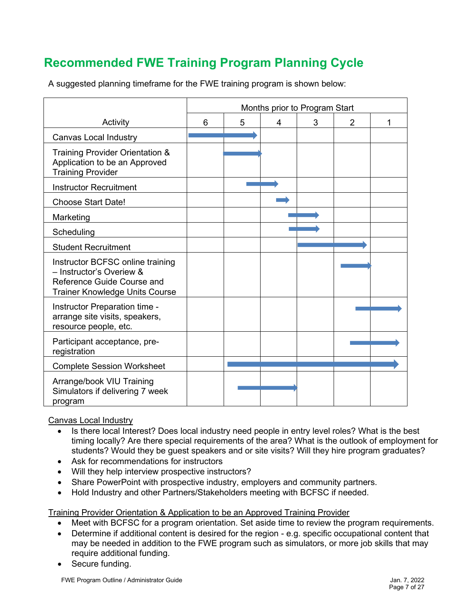### <span id="page-6-0"></span>**Recommended FWE Training Program Planning Cycle**

A suggested planning timeframe for the FWE training program is shown below:

|                                                                                                                                     | Months prior to Program Start |   |   |   |                |   |
|-------------------------------------------------------------------------------------------------------------------------------------|-------------------------------|---|---|---|----------------|---|
| Activity                                                                                                                            | 6                             | 5 | 4 | 3 | $\overline{2}$ | 1 |
| <b>Canvas Local Industry</b>                                                                                                        |                               |   |   |   |                |   |
| Training Provider Orientation &<br>Application to be an Approved<br><b>Training Provider</b>                                        |                               |   |   |   |                |   |
| <b>Instructor Recruitment</b>                                                                                                       |                               |   |   |   |                |   |
| <b>Choose Start Date!</b>                                                                                                           |                               |   |   |   |                |   |
| Marketing                                                                                                                           |                               |   |   |   |                |   |
| Scheduling                                                                                                                          |                               |   |   |   |                |   |
| <b>Student Recruitment</b>                                                                                                          |                               |   |   |   |                |   |
| Instructor BCFSC online training<br>- Instructor's Overiew &<br>Reference Guide Course and<br><b>Trainer Knowledge Units Course</b> |                               |   |   |   |                |   |
| Instructor Preparation time -<br>arrange site visits, speakers,<br>resource people, etc.                                            |                               |   |   |   |                |   |
| Participant acceptance, pre-<br>registration                                                                                        |                               |   |   |   |                |   |
| <b>Complete Session Worksheet</b>                                                                                                   |                               |   |   |   |                |   |
| Arrange/book VIU Training<br>Simulators if delivering 7 week<br>program                                                             |                               |   |   |   |                |   |

#### Canvas Local Industry

- Is there local Interest? Does local industry need people in entry level roles? What is the best timing locally? Are there special requirements of the area? What is the outlook of employment for students? Would they be guest speakers and or site visits? Will they hire program graduates?
- Ask for recommendations for instructors
- Will they help interview prospective instructors?
- Share PowerPoint with prospective industry, employers and community partners.
- Hold Industry and other Partners/Stakeholders meeting with BCFSC if needed.

#### Training Provider Orientation & Application to be an Approved Training Provider

- Meet with BCFSC for a program orientation. Set aside time to review the program requirements.
- Determine if additional content is desired for the region e.g. specific occupational content that may be needed in addition to the FWE program such as simulators, or more job skills that may require additional funding.
- Secure funding.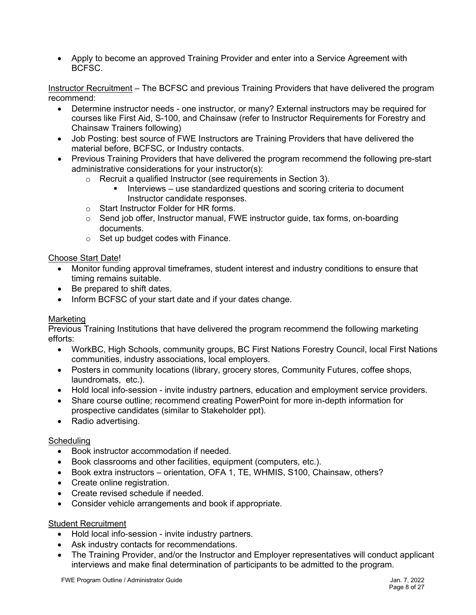• Apply to become an approved Training Provider and enter into a Service Agreement with BCFSC.

Instructor Recruitment – The BCFSC and previous Training Providers that have delivered the program recommend:

- Determine instructor needs one instructor, or many? External instructors may be required for courses like First Aid, S-100, and Chainsaw (refer to Instructor Requirements for Forestry and Chainsaw Trainers following)
- Job Posting: best source of FWE Instructors are Training Providers that have delivered the material before, BCFSC, or Industry contacts.
- Previous Training Providers that have delivered the program recommend the following pre-start administrative considerations for your instructor(s):
	- o Recruit a qualified Instructor (see requirements in Section 3).
		- Interviews use standardized questions and scoring criteria to document Instructor candidate responses.
	- o Start Instructor Folder for HR forms.
	- $\circ$  Send job offer, Instructor manual, FWE instructor guide, tax forms, on-boarding documents.
	- $\circ$  Set up budget codes with Finance.

#### Choose Start Date!

- Monitor funding approval timeframes, student interest and industry conditions to ensure that timing remains suitable.
- Be prepared to shift dates.
- Inform BCFSC of your start date and if your dates change.

#### Marketing

Previous Training Institutions that have delivered the program recommend the following marketing efforts:

- WorkBC, High Schools, community groups, BC First Nations Forestry Council, local First Nations communities, industry associations, local employers.
- Posters in community locations (library, grocery stores, Community Futures, coffee shops, laundromats, etc.).
- Hold local info-session invite industry partners, education and employment service providers.
- Share course outline; recommend creating PowerPoint for more in-depth information for prospective candidates (similar to Stakeholder ppt).
- Radio advertising.

#### **Scheduling**

- Book instructor accommodation if needed.
- Book classrooms and other facilities, equipment (computers, etc.).
- Book extra instructors orientation, OFA 1, TE, WHMIS, S100, Chainsaw, others?
- Create online registration.
- Create revised schedule if needed.
- Consider vehicle arrangements and book if appropriate.

#### Student Recruitment

- Hold local info-session invite industry partners.
- Ask industry contacts for recommendations.
- The Training Provider, and/or the Instructor and Employer representatives will conduct applicant interviews and make final determination of participants to be admitted to the program.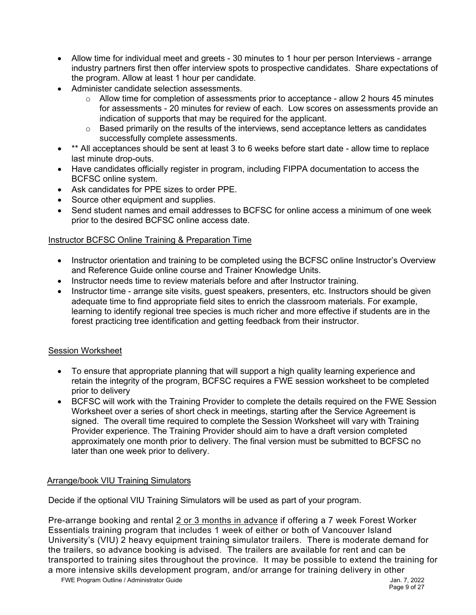- Allow time for individual meet and greets 30 minutes to 1 hour per person Interviews arrange industry partners first then offer interview spots to prospective candidates. Share expectations of the program. Allow at least 1 hour per candidate.
- Administer candidate selection assessments.
	- o Allow time for completion of assessments prior to acceptance allow 2 hours 45 minutes for assessments - 20 minutes for review of each. Low scores on assessments provide an indication of supports that may be required for the applicant.
	- o Based primarily on the results of the interviews, send acceptance letters as candidates successfully complete assessments.
- \*\* All acceptances should be sent at least 3 to 6 weeks before start date allow time to replace last minute drop-outs.
- Have candidates officially register in program, including FIPPA documentation to access the BCFSC online system.
- Ask candidates for PPE sizes to order PPE.
- Source other equipment and supplies.
- Send student names and email addresses to BCFSC for online access a minimum of one week prior to the desired BCFSC online access date.

#### Instructor BCFSC Online Training & Preparation Time

- Instructor orientation and training to be completed using the BCFSC online Instructor's Overview and Reference Guide online course and Trainer Knowledge Units.
- Instructor needs time to review materials before and after Instructor training.
- Instructor time arrange site visits, quest speakers, presenters, etc. Instructors should be given adequate time to find appropriate field sites to enrich the classroom materials. For example, learning to identify regional tree species is much richer and more effective if students are in the forest practicing tree identification and getting feedback from their instructor.

#### Session Worksheet

- To ensure that appropriate planning that will support a high quality learning experience and retain the integrity of the program, BCFSC requires a FWE session worksheet to be completed prior to delivery
- BCFSC will work with the Training Provider to complete the details required on the FWE Session Worksheet over a series of short check in meetings, starting after the Service Agreement is signed. The overall time required to complete the Session Worksheet will vary with Training Provider experience. The Training Provider should aim to have a draft version completed approximately one month prior to delivery. The final version must be submitted to BCFSC no later than one week prior to delivery.

#### Arrange/book VIU Training Simulators

Decide if the optional VIU Training Simulators will be used as part of your program.

Pre-arrange booking and rental 2 or 3 months in advance if offering a 7 week Forest Worker Essentials training program that includes 1 week of either or both of Vancouver Island University's (VIU) 2 heavy equipment training simulator trailers. There is moderate demand for the trailers, so advance booking is advised. The trailers are available for rent and can be transported to training sites throughout the province. It may be possible to extend the training for a more intensive skills development program, and/or arrange for training delivery in other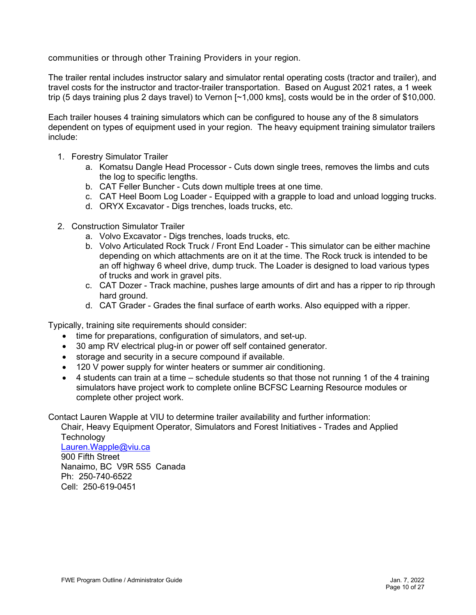communities or through other Training Providers in your region.

The trailer rental includes instructor salary and simulator rental operating costs (tractor and trailer), and travel costs for the instructor and tractor-trailer transportation. Based on August 2021 rates, a 1 week trip (5 days training plus 2 days travel) to Vernon [~1,000 kms], costs would be in the order of \$10,000.

Each trailer houses 4 training simulators which can be configured to house any of the 8 simulators dependent on types of equipment used in your region. The heavy equipment training simulator trailers include:

- 1. Forestry Simulator Trailer
	- a. Komatsu Dangle Head Processor Cuts down single trees, removes the limbs and cuts the log to specific lengths.
	- b. CAT Feller Buncher Cuts down multiple trees at one time.
	- c. CAT Heel Boom Log Loader Equipped with a grapple to load and unload logging trucks.
	- d. ORYX Excavator Digs trenches, loads trucks, etc.
- 2. Construction Simulator Trailer
	- a. Volvo Excavator Digs trenches, loads trucks, etc.
	- b. Volvo Articulated Rock Truck / Front End Loader This simulator can be either machine depending on which attachments are on it at the time. The Rock truck is intended to be an off highway 6 wheel drive, dump truck. The Loader is designed to load various types of trucks and work in gravel pits.
	- c. CAT Dozer Track machine, pushes large amounts of dirt and has a ripper to rip through hard ground.
	- d. CAT Grader Grades the final surface of earth works. Also equipped with a ripper.

Typically, training site requirements should consider:

- time for preparations, configuration of simulators, and set-up.
- 30 amp RV electrical plug-in or power off self contained generator.
- storage and security in a secure compound if available.
- 120 V power supply for winter heaters or summer air conditioning.
- 4 students can train at a time schedule students so that those not running 1 of the 4 training simulators have project work to complete online BCFSC Learning Resource modules or complete other project work.

Contact Lauren Wapple at VIU to determine trailer availability and further information:

Chair, Heavy Equipment Operator, Simulators and Forest Initiatives - Trades and Applied **Technology** 

[Lauren.Wapple@viu.ca](mailto:Lauren.Wapple@viu.ca) 900 Fifth Street Nanaimo, BC V9R 5S5 Canada Ph: 250-740-6522 Cell: 250-619-0451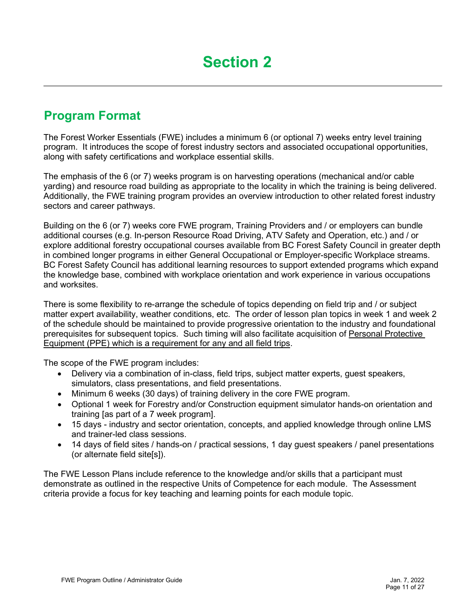### <span id="page-10-1"></span><span id="page-10-0"></span>**Program Format**

The Forest Worker Essentials (FWE) includes a minimum 6 (or optional 7) weeks entry level training program. It introduces the scope of forest industry sectors and associated occupational opportunities, along with safety certifications and workplace essential skills.

The emphasis of the 6 (or 7) weeks program is on harvesting operations (mechanical and/or cable yarding) and resource road building as appropriate to the locality in which the training is being delivered. Additionally, the FWE training program provides an overview introduction to other related forest industry sectors and career pathways.

Building on the 6 (or 7) weeks core FWE program, Training Providers and / or employers can bundle additional courses (e.g. In-person Resource Road Driving, ATV Safety and Operation, etc.) and / or explore additional forestry occupational courses available from BC Forest Safety Council in greater depth in combined longer programs in either General Occupational or Employer-specific Workplace streams. BC Forest Safety Council has additional learning resources to support extended programs which expand the knowledge base, combined with workplace orientation and work experience in various occupations and worksites.

There is some flexibility to re-arrange the schedule of topics depending on field trip and / or subject matter expert availability, weather conditions, etc. The order of lesson plan topics in week 1 and week 2 of the schedule should be maintained to provide progressive orientation to the industry and foundational prerequisites for subsequent topics. Such timing will also facilitate acquisition of Personal Protective Equipment (PPE) which is a requirement for any and all field trips.

The scope of the FWE program includes:

- Delivery via a combination of in-class, field trips, subject matter experts, guest speakers, simulators, class presentations, and field presentations.
- Minimum 6 weeks (30 days) of training delivery in the core FWE program.
- Optional 1 week for Forestry and/or Construction equipment simulator hands-on orientation and training [as part of a 7 week program].
- 15 days industry and sector orientation, concepts, and applied knowledge through online LMS and trainer-led class sessions.
- 14 days of field sites / hands-on / practical sessions, 1 day guest speakers / panel presentations (or alternate field site[s]).

The FWE Lesson Plans include reference to the knowledge and/or skills that a participant must demonstrate as outlined in the respective Units of Competence for each module. The Assessment criteria provide a focus for key teaching and learning points for each module topic.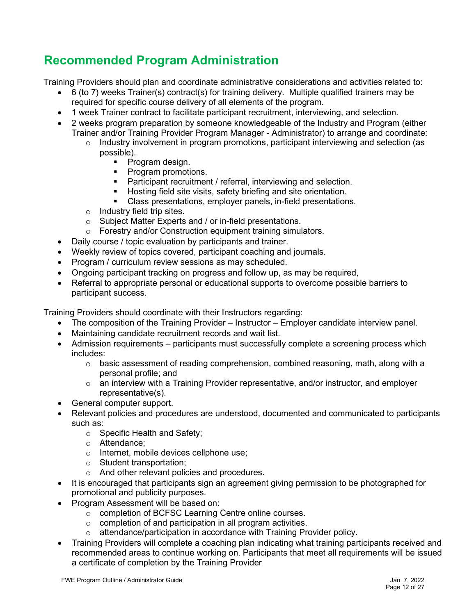### <span id="page-11-0"></span>**Recommended Program Administration**

Training Providers should plan and coordinate administrative considerations and activities related to:

- 6 (to 7) weeks Trainer(s) contract(s) for training delivery. Multiple qualified trainers may be required for specific course delivery of all elements of the program.
- 1 week Trainer contract to facilitate participant recruitment, interviewing, and selection.
- 2 weeks program preparation by someone knowledgeable of the Industry and Program (either Trainer and/or Training Provider Program Manager - Administrator) to arrange and coordinate:
	- $\circ$  Industry involvement in program promotions, participant interviewing and selection (as possible).
		- Program design.
		- **Program promotions.**
		- **Participant recruitment / referral, interviewing and selection.**
		- **Hosting field site visits, safety briefing and site orientation.**
		- Class presentations, employer panels, in-field presentations.
	- o Industry field trip sites.
	- o Subject Matter Experts and / or in-field presentations.
	- o Forestry and/or Construction equipment training simulators.
- Daily course / topic evaluation by participants and trainer.
- Weekly review of topics covered, participant coaching and journals.
- Program / curriculum review sessions as may scheduled.
- Ongoing participant tracking on progress and follow up, as may be required,
- Referral to appropriate personal or educational supports to overcome possible barriers to participant success.

Training Providers should coordinate with their Instructors regarding:

- The composition of the Training Provider Instructor Employer candidate interview panel.
- Maintaining candidate recruitment records and wait list.
- Admission requirements participants must successfully complete a screening process which includes:
	- $\circ$  basic assessment of reading comprehension, combined reasoning, math, along with a personal profile; and
	- $\circ$  an interview with a Training Provider representative, and/or instructor, and employer representative(s).
- General computer support.
- Relevant policies and procedures are understood, documented and communicated to participants such as:
	- o Specific Health and Safety;
	- o Attendance;
	- o Internet, mobile devices cellphone use;
	- o Student transportation;
	- o And other relevant policies and procedures.
- It is encouraged that participants sign an agreement giving permission to be photographed for promotional and publicity purposes.
- Program Assessment will be based on:
	- o completion of BCFSC Learning Centre online courses.
	- $\circ$  completion of and participation in all program activities.
	- o attendance/participation in accordance with Training Provider policy.
- Training Providers will complete a coaching plan indicating what training participants received and recommended areas to continue working on. Participants that meet all requirements will be issued a certificate of completion by the Training Provider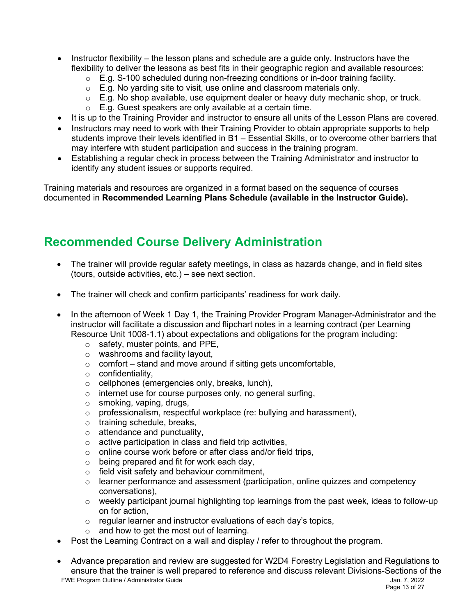- Instructor flexibility the lesson plans and schedule are a quide only. Instructors have the flexibility to deliver the lessons as best fits in their geographic region and available resources:
	- o E.g. S-100 scheduled during non-freezing conditions or in-door training facility.
	- $\circ$  E.g. No yarding site to visit, use online and classroom materials only.
	- $\circ$  E.g. No shop available, use equipment dealer or heavy duty mechanic shop, or truck.
	- $\circ$  E.g. Guest speakers are only available at a certain time.
- It is up to the Training Provider and instructor to ensure all units of the Lesson Plans are covered.
- Instructors may need to work with their Training Provider to obtain appropriate supports to help students improve their levels identified in B1 – Essential Skills, or to overcome other barriers that may interfere with student participation and success in the training program.
- Establishing a regular check in process between the Training Administrator and instructor to identify any student issues or supports required.

Training materials and resources are organized in a format based on the sequence of courses documented in **Recommended Learning Plans Schedule (available in the Instructor Guide).**

### <span id="page-12-0"></span>**Recommended Course Delivery Administration**

- The trainer will provide regular safety meetings, in class as hazards change, and in field sites (tours, outside activities, etc.) – see next section.
- The trainer will check and confirm participants' readiness for work daily.
- In the afternoon of Week 1 Day 1, the Training Provider Program Manager-Administrator and the instructor will facilitate a discussion and flipchart notes in a learning contract (per Learning Resource Unit 1008-1.1) about expectations and obligations for the program including:
	- o safety, muster points, and PPE,
	- o washrooms and facility layout,
	- $\circ$  comfort stand and move around if sitting gets uncomfortable,
	- o confidentiality,
	- o cellphones (emergencies only, breaks, lunch),
	- o internet use for course purposes only, no general surfing,
	- o smoking, vaping, drugs,
	- $\circ$  professionalism, respectful workplace (re: bullying and harassment),
	- o training schedule, breaks,
	- $\circ$  attendance and punctuality,
	- $\circ$  active participation in class and field trip activities,
	- o online course work before or after class and/or field trips,
	- $\circ$  being prepared and fit for work each day,
	- o field visit safety and behaviour commitment,
	- $\circ$  learner performance and assessment (participation, online quizzes and competency conversations),
	- $\circ$  weekly participant journal highlighting top learnings from the past week, ideas to follow-up on for action,
	- o regular learner and instructor evaluations of each day's topics,
	- o and how to get the most out of learning.
- Post the Learning Contract on a wall and display / refer to throughout the program.
- FWE Program Outline / Administrator Guide Jan. 7, 2022 • Advance preparation and review are suggested for W2D4 Forestry Legislation and Regulations to ensure that the trainer is well prepared to reference and discuss relevant Divisions-Sections of the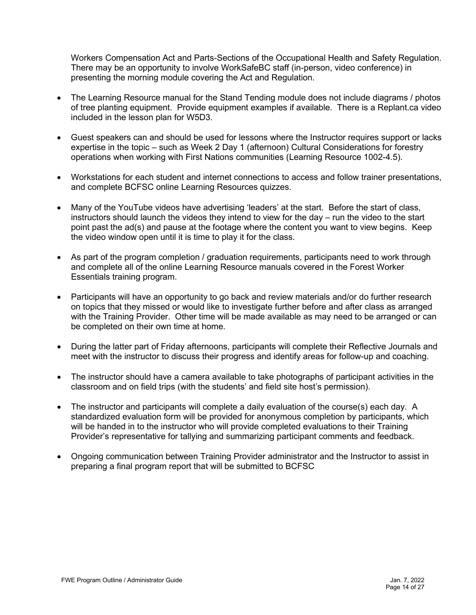Workers Compensation Act and Parts-Sections of the Occupational Health and Safety Regulation. There may be an opportunity to involve WorkSafeBC staff (in-person, video conference) in presenting the morning module covering the Act and Regulation.

- The Learning Resource manual for the Stand Tending module does not include diagrams / photos of tree planting equipment. Provide equipment examples if available. There is a Replant.ca video included in the lesson plan for W5D3.
- Guest speakers can and should be used for lessons where the Instructor requires support or lacks expertise in the topic – such as Week 2 Day 1 (afternoon) Cultural Considerations for forestry operations when working with First Nations communities (Learning Resource 1002-4.5).
- Workstations for each student and internet connections to access and follow trainer presentations, and complete BCFSC online Learning Resources quizzes.
- Many of the YouTube videos have advertising 'leaders' at the start. Before the start of class, instructors should launch the videos they intend to view for the day – run the video to the start point past the ad(s) and pause at the footage where the content you want to view begins. Keep the video window open until it is time to play it for the class.
- As part of the program completion / graduation requirements, participants need to work through and complete all of the online Learning Resource manuals covered in the Forest Worker Essentials training program.
- Participants will have an opportunity to go back and review materials and/or do further research on topics that they missed or would like to investigate further before and after class as arranged with the Training Provider. Other time will be made available as may need to be arranged or can be completed on their own time at home.
- During the latter part of Friday afternoons, participants will complete their Reflective Journals and meet with the instructor to discuss their progress and identify areas for follow-up and coaching.
- The instructor should have a camera available to take photographs of participant activities in the classroom and on field trips (with the students' and field site host's permission).
- The instructor and participants will complete a daily evaluation of the course(s) each day. A standardized evaluation form will be provided for anonymous completion by participants, which will be handed in to the instructor who will provide completed evaluations to their Training Provider's representative for tallying and summarizing participant comments and feedback.
- Ongoing communication between Training Provider administrator and the Instructor to assist in preparing a final program report that will be submitted to BCFSC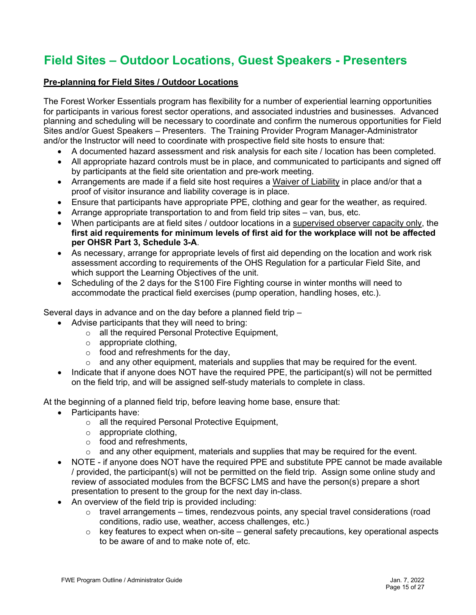### <span id="page-14-0"></span>**Field Sites – Outdoor Locations, Guest Speakers - Presenters**

#### **Pre-planning for Field Sites / Outdoor Locations**

The Forest Worker Essentials program has flexibility for a number of experiential learning opportunities for participants in various forest sector operations, and associated industries and businesses. Advanced planning and scheduling will be necessary to coordinate and confirm the numerous opportunities for Field Sites and/or Guest Speakers – Presenters. The Training Provider Program Manager-Administrator and/or the Instructor will need to coordinate with prospective field site hosts to ensure that:

- A documented hazard assessment and risk analysis for each site / location has been completed.
- All appropriate hazard controls must be in place, and communicated to participants and signed off by participants at the field site orientation and pre-work meeting.
- Arrangements are made if a field site host requires a Waiver of Liability in place and/or that a proof of visitor insurance and liability coverage is in place.
- Ensure that participants have appropriate PPE, clothing and gear for the weather, as required.
- Arrange appropriate transportation to and from field trip sites van, bus, etc.
- When participants are at field sites / outdoor locations in a supervised observer capacity only, the **first aid requirements for minimum levels of first aid for the workplace will not be affected per OHSR Part 3, Schedule 3-A**.
- As necessary, arrange for appropriate levels of first aid depending on the location and work risk assessment according to requirements of the OHS Regulation for a particular Field Site, and which support the Learning Objectives of the unit.
- Scheduling of the 2 days for the S100 Fire Fighting course in winter months will need to accommodate the practical field exercises (pump operation, handling hoses, etc.).

Several days in advance and on the day before a planned field trip –

- Advise participants that they will need to bring:
	- o all the required Personal Protective Equipment,
	- $\circ$  appropriate clothing,
	- $\circ$  food and refreshments for the day.
	- $\circ$  and any other equipment, materials and supplies that may be required for the event.
- Indicate that if anyone does NOT have the required PPE, the participant(s) will not be permitted on the field trip, and will be assigned self-study materials to complete in class.

At the beginning of a planned field trip, before leaving home base, ensure that:

- Participants have:
	- o all the required Personal Protective Equipment,
	- $\circ$  appropriate clothing,
	- o food and refreshments,
	- $\circ$  and any other equipment, materials and supplies that may be required for the event.
- NOTE if anyone does NOT have the required PPE and substitute PPE cannot be made available / provided, the participant(s) will not be permitted on the field trip. Assign some online study and review of associated modules from the BCFSC LMS and have the person(s) prepare a short presentation to present to the group for the next day in-class.
- An overview of the field trip is provided including:
	- $\circ$  travel arrangements times, rendezvous points, any special travel considerations (road conditions, radio use, weather, access challenges, etc.)
	- $\circ$  key features to expect when on-site general safety precautions, key operational aspects to be aware of and to make note of, etc.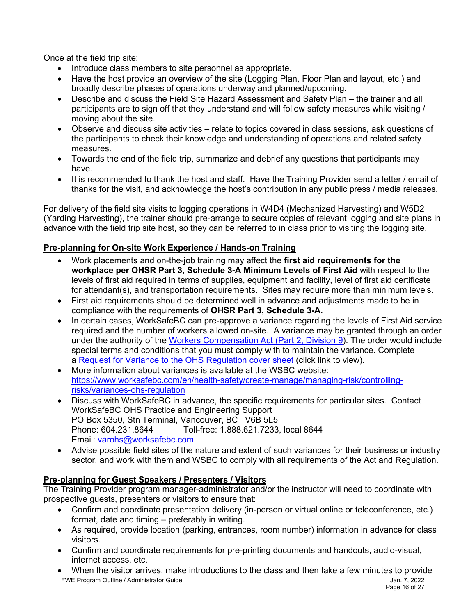Once at the field trip site:

- Introduce class members to site personnel as appropriate.
- Have the host provide an overview of the site (Logging Plan, Floor Plan and layout, etc.) and broadly describe phases of operations underway and planned/upcoming.
- Describe and discuss the Field Site Hazard Assessment and Safety Plan the trainer and all participants are to sign off that they understand and will follow safety measures while visiting / moving about the site.
- Observe and discuss site activities relate to topics covered in class sessions, ask questions of the participants to check their knowledge and understanding of operations and related safety measures.
- Towards the end of the field trip, summarize and debrief any questions that participants may have.
- It is recommended to thank the host and staff. Have the Training Provider send a letter / email of thanks for the visit, and acknowledge the host's contribution in any public press / media releases.

For delivery of the field site visits to logging operations in W4D4 (Mechanized Harvesting) and W5D2 (Yarding Harvesting), the trainer should pre-arrange to secure copies of relevant logging and site plans in advance with the field trip site host, so they can be referred to in class prior to visiting the logging site.

#### **Pre-planning for On-site Work Experience / Hands-on Training**

- Work placements and on-the-job training may affect the **first aid requirements for the workplace per OHSR Part 3, Schedule 3-A Minimum Levels of First Aid** with respect to the levels of first aid required in terms of supplies, equipment and facility, level of first aid certificate for attendant(s), and transportation requirements. Sites may require more than minimum levels.
- First aid requirements should be determined well in advance and adjustments made to be in compliance with the requirements of **OHSR Part 3, Schedule 3-A.**
- In certain cases, WorkSafeBC can pre-approve a variance regarding the levels of First Aid service required and the number of workers allowed on-site. A variance may be granted through an order under the authority of the [Workers Compensation Act](https://www.worksafebc.com/en/law-policy/occupational-health-safety/searchable-ohs-regulation/workers-compensation-act/part-2-occupational-health-and-safety#SectionNumber:Part2Division9) (Part 2, Division 9). The order would include special terms and conditions that you must comply with to maintain the variance. Complete a [Request for Variance to the OHS Regulation cover sheet](https://www.worksafebc.com/resources/health-safety/forms/request-variance-ohs-regulation-cover-sheet?lang=en) (click link to view).
- More information about variances is available at the WSBC website: [https://www.worksafebc.com/en/health-safety/create-manage/managing-risk/controlling](https://www.worksafebc.com/en/health-safety/create-manage/managing-risk/controlling-risks/variances-ohs-regulation)[risks/variances-ohs-regulation](https://www.worksafebc.com/en/health-safety/create-manage/managing-risk/controlling-risks/variances-ohs-regulation)
- Discuss with WorkSafeBC in advance, the specific requirements for particular sites. Contact WorkSafeBC OHS Practice and Engineering Support PO Box 5350, Stn Terminal, Vancouver, BC V6B 5L5 Phone: 604.231.8644 Toll-free: 1.888.621.7233, local 8644 Email: [varohs@worksafebc.com](mailto:varohs@worksafebc.com)
- Advise possible field sites of the nature and extent of such variances for their business or industry sector, and work with them and WSBC to comply with all requirements of the Act and Regulation.

#### **Pre-planning for Guest Speakers / Presenters / Visitors**

The Training Provider program manager-administrator and/or the instructor will need to coordinate with prospective guests, presenters or visitors to ensure that:

- Confirm and coordinate presentation delivery (in-person or virtual online or teleconference, etc.) format, date and timing – preferably in writing.
- As required, provide location (parking, entrances, room number) information in advance for class visitors.
- Confirm and coordinate requirements for pre-printing documents and handouts, audio-visual, internet access, etc.
- FWE Program Outline / Administrator Guide Jan. 7, 2022 • When the visitor arrives, make introductions to the class and then take a few minutes to provide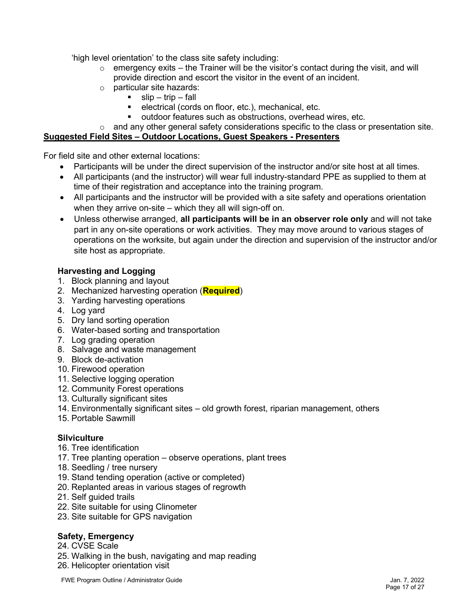'high level orientation' to the class site safety including:

- $\circ$  emergency exits the Trainer will be the visitor's contact during the visit, and will provide direction and escort the visitor in the event of an incident.
- $\circ$  particular site hazards:<br>slip trip fall
	- $slip trip fall$ 
		- electrical (cords on floor, etc.), mechanical, etc.
	- outdoor features such as obstructions, overhead wires, etc.

#### $\circ$  and any other general safety considerations specific to the class or presentation site.

#### **Suggested Field Sites – Outdoor Locations, Guest Speakers - Presenters**

For field site and other external locations:

- Participants will be under the direct supervision of the instructor and/or site host at all times.
- All participants (and the instructor) will wear full industry-standard PPE as supplied to them at time of their registration and acceptance into the training program.
- All participants and the instructor will be provided with a site safety and operations orientation when they arrive on-site – which they all will sign-off on.
- Unless otherwise arranged, **all participants will be in an observer role only** and will not take part in any on-site operations or work activities. They may move around to various stages of operations on the worksite, but again under the direction and supervision of the instructor and/or site host as appropriate.

#### **Harvesting and Logging**

- 1. Block planning and layout
- 2. Mechanized harvesting operation (**Required**)
- 3. Yarding harvesting operations
- 4. Log yard
- 5. Dry land sorting operation
- 6. Water-based sorting and transportation
- 7. Log grading operation
- 8. Salvage and waste management
- 9. Block de-activation
- 10. Firewood operation
- 11. Selective logging operation
- 12. Community Forest operations
- 13. Culturally significant sites
- 14. Environmentally significant sites old growth forest, riparian management, others
- 15. Portable Sawmill

#### **Silviculture**

- 16. Tree identification
- 17. Tree planting operation observe operations, plant trees
- 18. Seedling / tree nursery
- 19. Stand tending operation (active or completed)
- 20. Replanted areas in various stages of regrowth
- 21. Self guided trails
- 22. Site suitable for using Clinometer
- 23. Site suitable for GPS navigation

#### **Safety, Emergency**

- 24. CVSE Scale
- 25. Walking in the bush, navigating and map reading
- 26. Helicopter orientation visit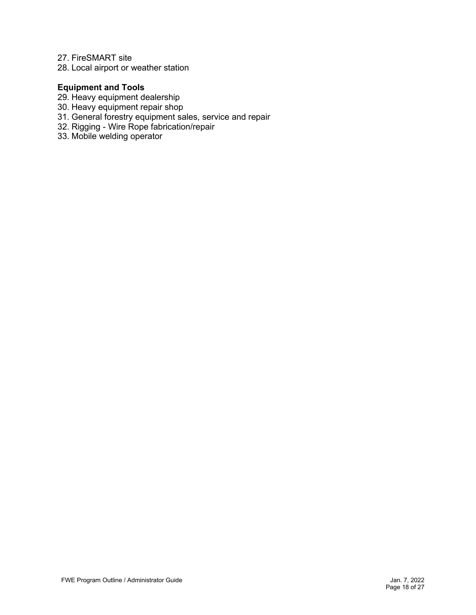#### 27. FireSMART site

28. Local airport or weather station

#### **Equipment and Tools**

- 29. Heavy equipment dealership
- 30. Heavy equipment repair shop
- 31. General forestry equipment sales, service and repair
- 32. Rigging Wire Rope fabrication/repair
- 33. Mobile welding operator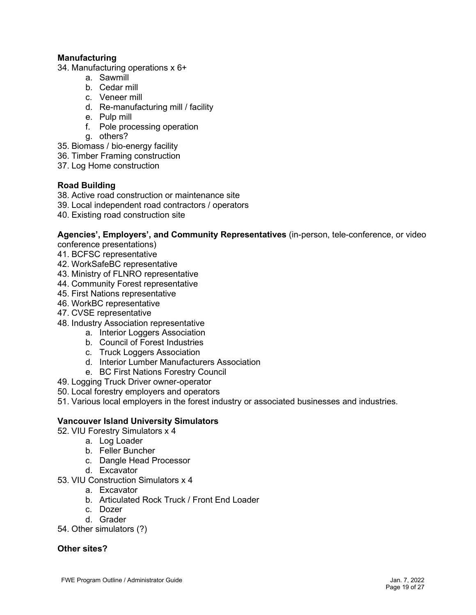#### **Manufacturing**

- 34. Manufacturing operations x 6+
	- a. Sawmill
	- b. Cedar mill
	- c. Veneer mill
	- d. Re-manufacturing mill / facility
	- e. Pulp mill
	- f. Pole processing operation
	- g. others?
- 35. Biomass / bio-energy facility
- 36. Timber Framing construction
- 37. Log Home construction

#### **Road Building**

- 38. Active road construction or maintenance site
- 39. Local independent road contractors / operators
- 40. Existing road construction site

**Agencies', Employers', and Community Representatives** (in-person, tele-conference, or video

- conference presentations)
- 41. BCFSC representative
- 42. WorkSafeBC representative
- 43. Ministry of FLNRO representative
- 44. Community Forest representative
- 45. First Nations representative
- 46. WorkBC representative
- 47. CVSE representative
- 48. Industry Association representative
	- a. Interior Loggers Association
	- b. Council of Forest Industries
	- c. Truck Loggers Association
	- d. Interior Lumber Manufacturers Association
	- e. BC First Nations Forestry Council
- 49. Logging Truck Driver owner-operator
- 50. Local forestry employers and operators
- 51. Various local employers in the forest industry or associated businesses and industries.

#### **Vancouver Island University Simulators**

- 52. VIU Forestry Simulators x 4
	- a. Log Loader
	- b. Feller Buncher
	- c. Dangle Head Processor
	- d. Excavator
- 53. VIU Construction Simulators x 4
	- a. Excavator
	- b. Articulated Rock Truck / Front End Loader
	- c. Dozer
	- d. Grader

54. Other simulators (?)

#### **Other sites?**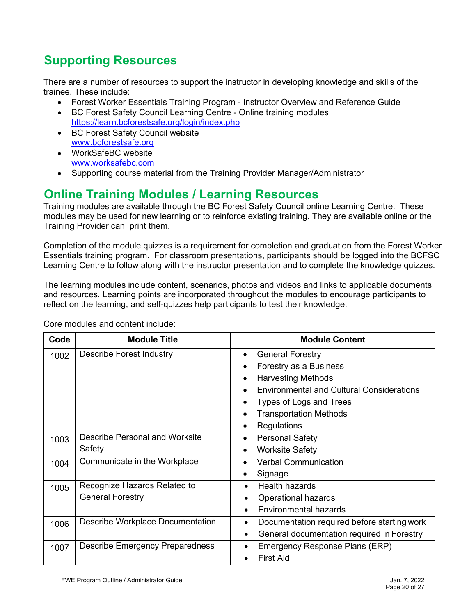### <span id="page-19-0"></span>**Supporting Resources**

There are a number of resources to support the instructor in developing knowledge and skills of the trainee. These include:

- Forest Worker Essentials Training Program Instructor Overview and Reference Guide
- BC Forest Safety Council Learning Centre Online training modules <https://learn.bcforestsafe.org/login/index.php>
- BC Forest Safety Council website [www.bcforestsafe.org](http://www.bcforestsafe.org/)
- WorkSafeBC website [www.worksafebc.com](http://www.worksafebc.com/)
- Supporting course material from the Training Provider Manager/Administrator

### <span id="page-19-1"></span>**Online Training Modules / Learning Resources**

Training modules are available through the BC Forest Safety Council online Learning Centre. These modules may be used for new learning or to reinforce existing training. They are available online or the Training Provider can print them.

Completion of the module quizzes is a requirement for completion and graduation from the Forest Worker Essentials training program. For classroom presentations, participants should be logged into the BCFSC Learning Centre to follow along with the instructor presentation and to complete the knowledge quizzes.

The learning modules include content, scenarios, photos and videos and links to applicable documents and resources. Learning points are incorporated throughout the modules to encourage participants to reflect on the learning, and self-quizzes help participants to test their knowledge.

| Code | <b>Module Title</b>                    | <b>Module Content</b>                                         |
|------|----------------------------------------|---------------------------------------------------------------|
| 1002 | <b>Describe Forest Industry</b>        | <b>General Forestry</b><br>٠                                  |
|      |                                        | Forestry as a Business<br>٠                                   |
|      |                                        | <b>Harvesting Methods</b><br>$\bullet$                        |
|      |                                        | <b>Environmental and Cultural Considerations</b><br>$\bullet$ |
|      |                                        | Types of Logs and Trees                                       |
|      |                                        | <b>Transportation Methods</b><br>$\bullet$                    |
|      |                                        | Regulations<br>٠                                              |
| 1003 | Describe Personal and Worksite         | <b>Personal Safety</b><br>٠                                   |
|      | Safety                                 | <b>Worksite Safety</b><br>$\bullet$                           |
| 1004 | Communicate in the Workplace           | <b>Verbal Communication</b><br>٠                              |
|      |                                        | Signage<br>٠                                                  |
| 1005 | Recognize Hazards Related to           | Health hazards<br>$\bullet$                                   |
|      | <b>General Forestry</b>                | Operational hazards<br>$\bullet$                              |
|      |                                        | <b>Environmental hazards</b><br>$\bullet$                     |
| 1006 | Describe Workplace Documentation       | Documentation required before starting work<br>$\bullet$      |
|      |                                        | General documentation required in Forestry<br>$\bullet$       |
| 1007 | <b>Describe Emergency Preparedness</b> | Emergency Response Plans (ERP)<br>$\bullet$                   |
|      |                                        | <b>First Aid</b>                                              |

Core modules and content include: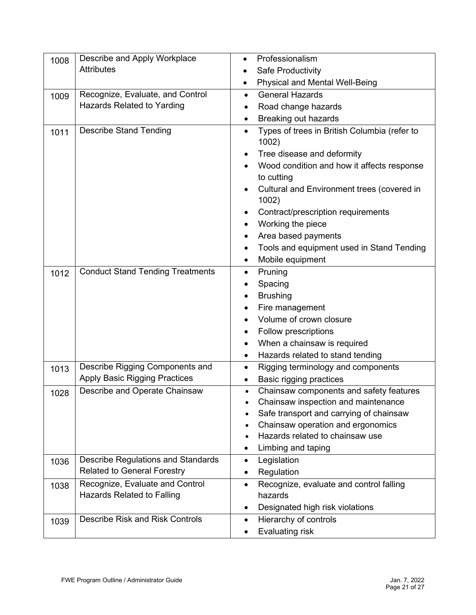| 1008 | Describe and Apply Workplace                                             | Professionalism<br>$\bullet$                                       |
|------|--------------------------------------------------------------------------|--------------------------------------------------------------------|
|      | <b>Attributes</b>                                                        | Safe Productivity                                                  |
|      |                                                                          | <b>Physical and Mental Well-Being</b><br>$\bullet$                 |
| 1009 | Recognize, Evaluate, and Control                                         | <b>General Hazards</b><br>$\bullet$                                |
|      | <b>Hazards Related to Yarding</b>                                        | Road change hazards                                                |
|      |                                                                          | Breaking out hazards<br>$\bullet$                                  |
| 1011 | <b>Describe Stand Tending</b>                                            | Types of trees in British Columbia (refer to<br>$\bullet$<br>1002) |
|      |                                                                          | Tree disease and deformity                                         |
|      |                                                                          | Wood condition and how it affects response<br>to cutting           |
|      |                                                                          | Cultural and Environment trees (covered in<br>1002)                |
|      |                                                                          | Contract/prescription requirements<br>$\bullet$                    |
|      |                                                                          | Working the piece                                                  |
|      |                                                                          | Area based payments                                                |
|      |                                                                          | Tools and equipment used in Stand Tending                          |
|      |                                                                          | Mobile equipment<br>$\bullet$                                      |
| 1012 | <b>Conduct Stand Tending Treatments</b>                                  | Pruning<br>$\bullet$                                               |
|      |                                                                          | Spacing                                                            |
|      |                                                                          | <b>Brushing</b><br>$\bullet$                                       |
|      |                                                                          | Fire management                                                    |
|      |                                                                          | Volume of crown closure                                            |
|      |                                                                          | Follow prescriptions                                               |
|      |                                                                          | When a chainsaw is required<br>$\bullet$                           |
|      |                                                                          | Hazards related to stand tending                                   |
| 1013 | Describe Rigging Components and                                          | Rigging terminology and components<br>$\bullet$                    |
|      | Apply Basic Rigging Practices                                            | Basic rigging practices<br>$\bullet$                               |
| 1028 | Describe and Operate Chainsaw                                            | Chainsaw components and safety features<br>$\bullet$               |
|      |                                                                          | Chainsaw inspection and maintenance                                |
|      |                                                                          | Safe transport and carrying of chainsaw                            |
|      |                                                                          | Chainsaw operation and ergonomics                                  |
|      |                                                                          | Hazards related to chainsaw use                                    |
|      |                                                                          | Limbing and taping                                                 |
| 1036 | Describe Regulations and Standards<br><b>Related to General Forestry</b> | Legislation<br>$\bullet$                                           |
|      |                                                                          | Regulation<br>٠                                                    |
| 1038 | Recognize, Evaluate and Control<br><b>Hazards Related to Falling</b>     | Recognize, evaluate and control falling<br>$\bullet$<br>hazards    |
|      |                                                                          |                                                                    |
|      | <b>Describe Risk and Risk Controls</b>                                   | Designated high risk violations<br>$\bullet$                       |
| 1039 |                                                                          | Hierarchy of controls<br>$\bullet$                                 |
|      |                                                                          | Evaluating risk<br>$\bullet$                                       |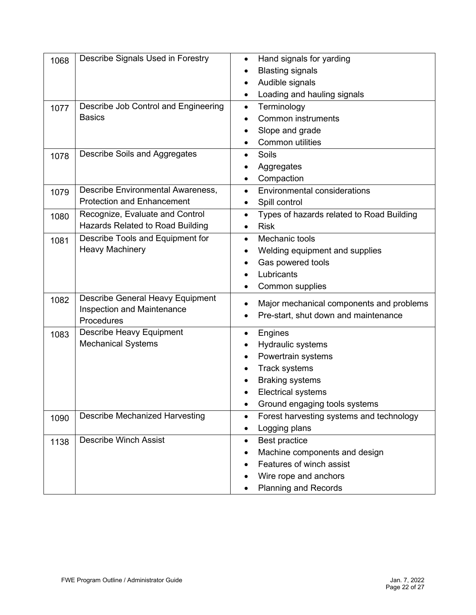| 1068 | Describe Signals Used in Forestry       | Hand signals for yarding<br>$\bullet$                  |
|------|-----------------------------------------|--------------------------------------------------------|
|      |                                         | <b>Blasting signals</b>                                |
|      |                                         | Audible signals<br>$\bullet$                           |
|      |                                         | Loading and hauling signals                            |
| 1077 | Describe Job Control and Engineering    | Terminology<br>$\bullet$                               |
|      | <b>Basics</b>                           | <b>Common instruments</b>                              |
|      |                                         | Slope and grade                                        |
|      |                                         | <b>Common utilities</b>                                |
| 1078 | Describe Soils and Aggregates           | Soils                                                  |
|      |                                         | Aggregates                                             |
|      |                                         | Compaction                                             |
| 1079 | Describe Environmental Awareness,       | <b>Environmental considerations</b><br>$\bullet$       |
|      | <b>Protection and Enhancement</b>       | Spill control<br>٠                                     |
| 1080 | Recognize, Evaluate and Control         | Types of hazards related to Road Building<br>$\bullet$ |
|      | <b>Hazards Related to Road Building</b> | <b>Risk</b>                                            |
| 1081 | Describe Tools and Equipment for        | Mechanic tools<br>$\bullet$                            |
|      | <b>Heavy Machinery</b>                  | Welding equipment and supplies                         |
|      |                                         | Gas powered tools                                      |
|      |                                         | Lubricants                                             |
|      |                                         | Common supplies                                        |
| 1082 | <b>Describe General Heavy Equipment</b> | Major mechanical components and problems               |
|      | Inspection and Maintenance              | Pre-start, shut down and maintenance<br>٠              |
|      | Procedures                              |                                                        |
| 1083 | <b>Describe Heavy Equipment</b>         | Engines<br>٠                                           |
|      | <b>Mechanical Systems</b>               | Hydraulic systems                                      |
|      |                                         | Powertrain systems                                     |
|      |                                         | <b>Track systems</b>                                   |
|      |                                         | <b>Braking systems</b>                                 |
|      |                                         | <b>Electrical systems</b>                              |
|      |                                         | Ground engaging tools systems<br>$\bullet$             |
| 1090 | <b>Describe Mechanized Harvesting</b>   | Forest harvesting systems and technology<br>$\bullet$  |
|      |                                         | Logging plans<br>٠                                     |
| 1138 | <b>Describe Winch Assist</b>            | Best practice<br>$\bullet$                             |
|      |                                         | Machine components and design                          |
|      |                                         | Features of winch assist                               |
|      |                                         | Wire rope and anchors                                  |
|      |                                         | <b>Planning and Records</b><br>٠                       |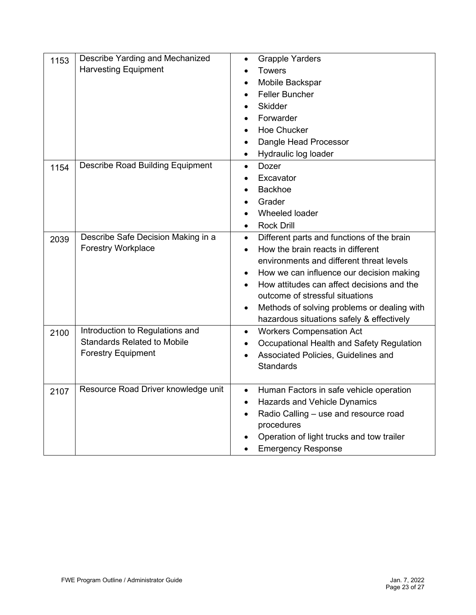| 1153 | Describe Yarding and Mechanized<br><b>Harvesting Equipment</b>                                     | <b>Grapple Yarders</b><br>$\bullet$<br><b>Towers</b><br>Mobile Backspar<br><b>Feller Buncher</b><br><b>Skidder</b><br>Forwarder<br><b>Hoe Chucker</b><br>Dangle Head Processor<br>Hydraulic log loader<br>$\bullet$                                                                                                                                                            |
|------|----------------------------------------------------------------------------------------------------|--------------------------------------------------------------------------------------------------------------------------------------------------------------------------------------------------------------------------------------------------------------------------------------------------------------------------------------------------------------------------------|
| 1154 | <b>Describe Road Building Equipment</b>                                                            | <b>Dozer</b><br>$\bullet$<br>Excavator<br><b>Backhoe</b><br>Grader<br>Wheeled loader<br><b>Rock Drill</b>                                                                                                                                                                                                                                                                      |
| 2039 | Describe Safe Decision Making in a<br><b>Forestry Workplace</b>                                    | Different parts and functions of the brain<br>$\bullet$<br>How the brain reacts in different<br>$\bullet$<br>environments and different threat levels<br>How we can influence our decision making<br>How attitudes can affect decisions and the<br>outcome of stressful situations<br>Methods of solving problems or dealing with<br>hazardous situations safely & effectively |
| 2100 | Introduction to Regulations and<br><b>Standards Related to Mobile</b><br><b>Forestry Equipment</b> | <b>Workers Compensation Act</b><br>$\bullet$<br>Occupational Health and Safety Regulation<br>$\bullet$<br>Associated Policies, Guidelines and<br>$\bullet$<br><b>Standards</b>                                                                                                                                                                                                 |
| 2107 | Resource Road Driver knowledge unit                                                                | Human Factors in safe vehicle operation<br>$\bullet$<br>Hazards and Vehicle Dynamics<br>٠<br>Radio Calling - use and resource road<br>procedures<br>Operation of light trucks and tow trailer<br><b>Emergency Response</b>                                                                                                                                                     |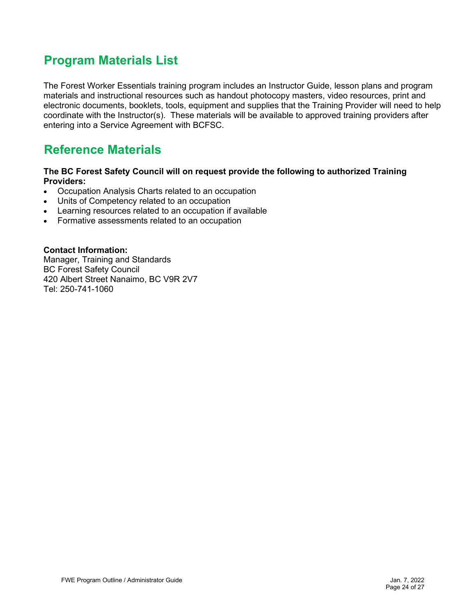### <span id="page-23-0"></span>**Program Materials List**

The Forest Worker Essentials training program includes an Instructor Guide, lesson plans and program materials and instructional resources such as handout photocopy masters, video resources, print and electronic documents, booklets, tools, equipment and supplies that the Training Provider will need to help coordinate with the Instructor(s). These materials will be available to approved training providers after entering into a Service Agreement with BCFSC.

### <span id="page-23-1"></span>**Reference Materials**

#### **The BC Forest Safety Council will on request provide the following to authorized Training Providers:**

- Occupation Analysis Charts related to an occupation
- Units of Competency related to an occupation
- Learning resources related to an occupation if available
- Formative assessments related to an occupation

#### **Contact Information:**

Manager, Training and Standards BC Forest Safety Council 420 Albert Street Nanaimo, BC V9R 2V7 Tel: 250-741-1060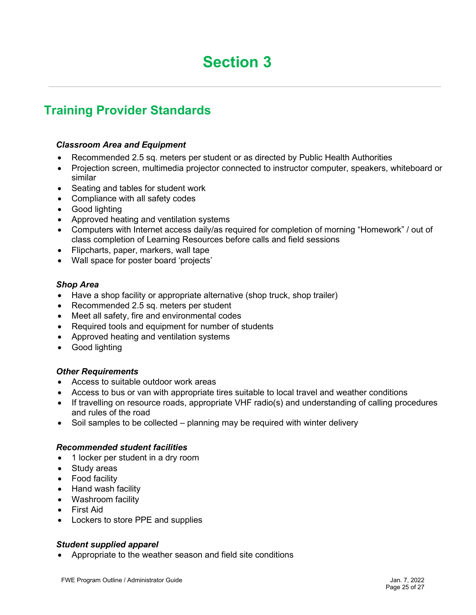### <span id="page-24-1"></span><span id="page-24-0"></span>**Training Provider Standards**

#### *Classroom Area and Equipment*

- Recommended 2.5 sq. meters per student or as directed by Public Health Authorities
- Projection screen, multimedia projector connected to instructor computer, speakers, whiteboard or similar
- Seating and tables for student work
- Compliance with all safety codes
- Good lighting
- Approved heating and ventilation systems
- Computers with Internet access daily/as required for completion of morning "Homework" / out of class completion of Learning Resources before calls and field sessions
- Flipcharts, paper, markers, wall tape
- Wall space for poster board 'projects'

#### *Shop Area*

- Have a shop facility or appropriate alternative (shop truck, shop trailer)
- Recommended 2.5 sq. meters per student
- Meet all safety, fire and environmental codes
- Required tools and equipment for number of students
- Approved heating and ventilation systems
- Good lighting

#### *Other Requirements*

- Access to suitable outdoor work areas
- Access to bus or van with appropriate tires suitable to local travel and weather conditions
- If travelling on resource roads, appropriate VHF radio(s) and understanding of calling procedures and rules of the road
- Soil samples to be collected planning may be required with winter delivery

#### *Recommended student facilities*

- 1 locker per student in a dry room
- Study areas
- Food facility
- Hand wash facility
- Washroom facility
- First Aid
- Lockers to store PPE and supplies

#### *Student supplied apparel*

• Appropriate to the weather season and field site conditions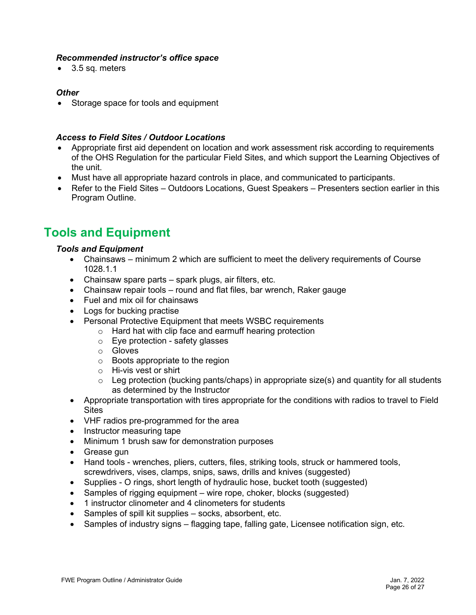#### *Recommended instructor's office space*

• 3.5 sq. meters

#### *Other*

• Storage space for tools and equipment

#### *Access to Field Sites / Outdoor Locations*

- Appropriate first aid dependent on location and work assessment risk according to requirements of the OHS Regulation for the particular Field Sites, and which support the Learning Objectives of the unit.
- Must have all appropriate hazard controls in place, and communicated to participants.
- Refer to the Field Sites Outdoors Locations, Guest Speakers Presenters section earlier in this Program Outline.

### <span id="page-25-0"></span>**Tools and Equipment**

#### *Tools and Equipment*

- Chainsaws minimum 2 which are sufficient to meet the delivery requirements of Course 1028.1.1
- Chainsaw spare parts spark plugs, air filters, etc.
- Chainsaw repair tools round and flat files, bar wrench, Raker gauge
- Fuel and mix oil for chainsaws
- Logs for bucking practise
- Personal Protective Equipment that meets WSBC requirements
	- o Hard hat with clip face and earmuff hearing protection
	- $\circ$  Eye protection safety glasses
	- o Gloves
	- $\circ$  Boots appropriate to the region
	- o Hi-vis vest or shirt
	- $\circ$  Leg protection (bucking pants/chaps) in appropriate size(s) and quantity for all students as determined by the Instructor
- Appropriate transportation with tires appropriate for the conditions with radios to travel to Field **Sites**
- VHF radios pre-programmed for the area
- Instructor measuring tape
- Minimum 1 brush saw for demonstration purposes
- Grease gun
- Hand tools wrenches, pliers, cutters, files, striking tools, struck or hammered tools, screwdrivers, vises, clamps, snips, saws, drills and knives (suggested)
- Supplies O rings, short length of hydraulic hose, bucket tooth (suggested)
- Samples of rigging equipment wire rope, choker, blocks (suggested)
- 1 instructor clinometer and 4 clinometers for students
- Samples of spill kit supplies socks, absorbent, etc.
- Samples of industry signs flagging tape, falling gate, Licensee notification sign, etc.